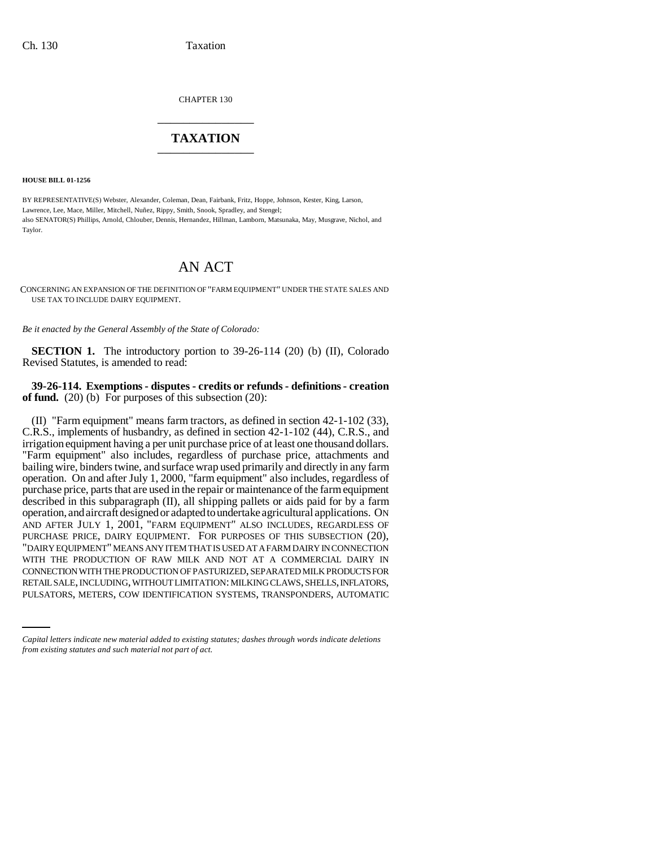CHAPTER 130 \_\_\_\_\_\_\_\_\_\_\_\_\_\_\_

## **TAXATION** \_\_\_\_\_\_\_\_\_\_\_\_\_\_\_

**HOUSE BILL 01-1256**

BY REPRESENTATIVE(S) Webster, Alexander, Coleman, Dean, Fairbank, Fritz, Hoppe, Johnson, Kester, King, Larson, Lawrence, Lee, Mace, Miller, Mitchell, Nuñez, Rippy, Smith, Snook, Spradley, and Stengel; also SENATOR(S) Phillips, Arnold, Chlouber, Dennis, Hernandez, Hillman, Lamborn, Matsunaka, May, Musgrave, Nichol, and Taylor.

## AN ACT

CONCERNING AN EXPANSION OF THE DEFINITION OF "FARM EQUIPMENT" UNDER THE STATE SALES AND USE TAX TO INCLUDE DAIRY EQUIPMENT.

*Be it enacted by the General Assembly of the State of Colorado:*

**SECTION 1.** The introductory portion to 39-26-114 (20) (b) (II), Colorado Revised Statutes, is amended to read:

**39-26-114. Exemptions - disputes - credits or refunds - definitions - creation of fund.** (20) (b) For purposes of this subsection (20):

CONNECTION WITH THE PRODUCTION OF PASTURIZED, SEPARATED MILK PRODUCTS FOR (II) "Farm equipment" means farm tractors, as defined in section 42-1-102 (33), C.R.S., implements of husbandry, as defined in section 42-1-102 (44), C.R.S., and irrigation equipment having a per unit purchase price of at least one thousand dollars. "Farm equipment" also includes, regardless of purchase price, attachments and bailing wire, binders twine, and surface wrap used primarily and directly in any farm operation. On and after July 1, 2000, "farm equipment" also includes, regardless of purchase price, parts that are used in the repair or maintenance of the farm equipment described in this subparagraph (II), all shipping pallets or aids paid for by a farm operation, and aircraft designed or adapted to undertake agricultural applications. ON AND AFTER JULY 1, 2001, "FARM EQUIPMENT" ALSO INCLUDES, REGARDLESS OF PURCHASE PRICE, DAIRY EQUIPMENT. FOR PURPOSES OF THIS SUBSECTION (20), "DAIRY EQUIPMENT" MEANS ANY ITEM THAT IS USED AT A FARM DAIRY IN CONNECTION WITH THE PRODUCTION OF RAW MILK AND NOT AT A COMMERCIAL DAIRY IN RETAIL SALE, INCLUDING, WITHOUT LIMITATION: MILKING CLAWS, SHELLS, INFLATORS, PULSATORS, METERS, COW IDENTIFICATION SYSTEMS, TRANSPONDERS, AUTOMATIC

*Capital letters indicate new material added to existing statutes; dashes through words indicate deletions from existing statutes and such material not part of act.*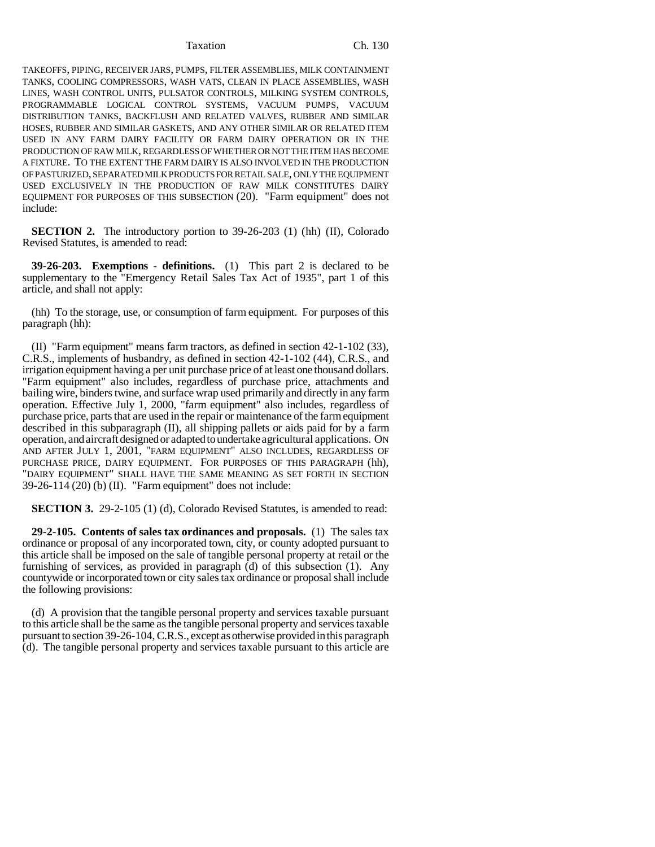## Taxation Ch. 130

TAKEOFFS, PIPING, RECEIVER JARS, PUMPS, FILTER ASSEMBLIES, MILK CONTAINMENT TANKS, COOLING COMPRESSORS, WASH VATS, CLEAN IN PLACE ASSEMBLIES, WASH LINES, WASH CONTROL UNITS, PULSATOR CONTROLS, MILKING SYSTEM CONTROLS, PROGRAMMABLE LOGICAL CONTROL SYSTEMS, VACUUM PUMPS, VACUUM DISTRIBUTION TANKS, BACKFLUSH AND RELATED VALVES, RUBBER AND SIMILAR HOSES, RUBBER AND SIMILAR GASKETS, AND ANY OTHER SIMILAR OR RELATED ITEM USED IN ANY FARM DAIRY FACILITY OR FARM DAIRY OPERATION OR IN THE PRODUCTION OF RAW MILK, REGARDLESS OF WHETHER OR NOT THE ITEM HAS BECOME A FIXTURE. TO THE EXTENT THE FARM DAIRY IS ALSO INVOLVED IN THE PRODUCTION OF PASTURIZED, SEPARATED MILK PRODUCTS FOR RETAIL SALE, ONLY THE EQUIPMENT USED EXCLUSIVELY IN THE PRODUCTION OF RAW MILK CONSTITUTES DAIRY EQUIPMENT FOR PURPOSES OF THIS SUBSECTION (20). "Farm equipment" does not include:

**SECTION 2.** The introductory portion to 39-26-203 (1) (hh) (II), Colorado Revised Statutes, is amended to read:

**39-26-203. Exemptions - definitions.** (1) This part 2 is declared to be supplementary to the "Emergency Retail Sales Tax Act of 1935", part 1 of this article, and shall not apply:

(hh) To the storage, use, or consumption of farm equipment. For purposes of this paragraph (hh):

(II) "Farm equipment" means farm tractors, as defined in section 42-1-102 (33), C.R.S., implements of husbandry, as defined in section 42-1-102 (44), C.R.S., and irrigation equipment having a per unit purchase price of at least one thousand dollars. "Farm equipment" also includes, regardless of purchase price, attachments and bailing wire, binders twine, and surface wrap used primarily and directly in any farm operation. Effective July 1, 2000, "farm equipment" also includes, regardless of purchase price, parts that are used in the repair or maintenance of the farm equipment described in this subparagraph (II), all shipping pallets or aids paid for by a farm operation, and aircraft designed or adapted to undertake agricultural applications. ON AND AFTER JULY 1, 2001, "FARM EQUIPMENT" ALSO INCLUDES, REGARDLESS OF PURCHASE PRICE, DAIRY EQUIPMENT. FOR PURPOSES OF THIS PARAGRAPH (hh), "DAIRY EQUIPMENT" SHALL HAVE THE SAME MEANING AS SET FORTH IN SECTION 39-26-114 (20) (b) (II). "Farm equipment" does not include:

**SECTION 3.** 29-2-105 (1) (d), Colorado Revised Statutes, is amended to read:

**29-2-105. Contents of sales tax ordinances and proposals.** (1) The sales tax ordinance or proposal of any incorporated town, city, or county adopted pursuant to this article shall be imposed on the sale of tangible personal property at retail or the furnishing of services, as provided in paragraph (d) of this subsection (1). Any countywide or incorporated town or city sales tax ordinance or proposal shall include the following provisions:

(d) A provision that the tangible personal property and services taxable pursuant to this article shall be the same as the tangible personal property and services taxable pursuant to section 39-26-104, C.R.S., except as otherwise provided in this paragraph (d). The tangible personal property and services taxable pursuant to this article are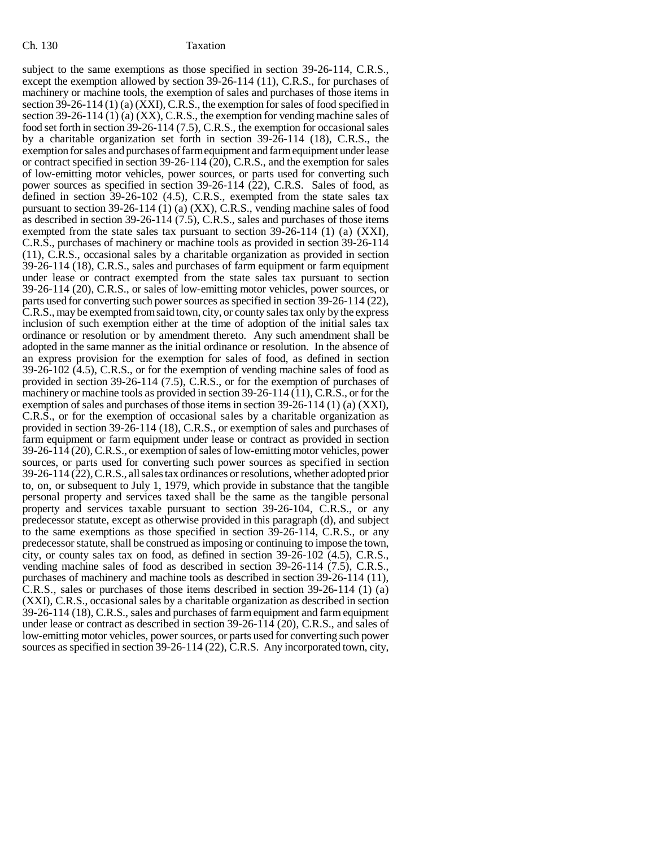subject to the same exemptions as those specified in section 39-26-114, C.R.S., except the exemption allowed by section 39-26-114 (11), C.R.S., for purchases of machinery or machine tools, the exemption of sales and purchases of those items in section 39-26-114 (1) (a) (XXI), C.R.S., the exemption for sales of food specified in section 39-26-114 (1) (a) (XX), C.R.S., the exemption for vending machine sales of food set forth in section 39-26-114 (7.5), C.R.S., the exemption for occasional sales by a charitable organization set forth in section 39-26-114 (18), C.R.S., the exemption for sales and purchases of farm equipment and farm equipment under lease or contract specified in section 39-26-114 (20), C.R.S., and the exemption for sales of low-emitting motor vehicles, power sources, or parts used for converting such power sources as specified in section 39-26-114 (22), C.R.S. Sales of food, as defined in section 39-26-102 (4.5), C.R.S., exempted from the state sales tax pursuant to section 39-26-114 (1) (a) (XX), C.R.S., vending machine sales of food as described in section 39-26-114 (7.5), C.R.S., sales and purchases of those items exempted from the state sales tax pursuant to section  $39-26-114$  (1) (a) (XXI), C.R.S., purchases of machinery or machine tools as provided in section 39-26-114 (11), C.R.S., occasional sales by a charitable organization as provided in section 39-26-114 (18), C.R.S., sales and purchases of farm equipment or farm equipment under lease or contract exempted from the state sales tax pursuant to section 39-26-114 (20), C.R.S., or sales of low-emitting motor vehicles, power sources, or parts used for converting such power sources as specified in section 39-26-114 (22), C.R.S., may be exempted from said town, city, or county sales tax only by the express inclusion of such exemption either at the time of adoption of the initial sales tax ordinance or resolution or by amendment thereto. Any such amendment shall be adopted in the same manner as the initial ordinance or resolution. In the absence of an express provision for the exemption for sales of food, as defined in section 39-26-102 (4.5), C.R.S., or for the exemption of vending machine sales of food as provided in section 39-26-114 (7.5), C.R.S., or for the exemption of purchases of machinery or machine tools as provided in section 39-26-114 (11), C.R.S., or for the exemption of sales and purchases of those items in section 39-26-114 (1) (a) (XXI), C.R.S., or for the exemption of occasional sales by a charitable organization as provided in section 39-26-114 (18), C.R.S., or exemption of sales and purchases of farm equipment or farm equipment under lease or contract as provided in section 39-26-114 (20), C.R.S., or exemption of sales of low-emitting motor vehicles, power sources, or parts used for converting such power sources as specified in section 39-26-114 (22), C.R.S., all sales tax ordinances or resolutions, whether adopted prior to, on, or subsequent to July 1, 1979, which provide in substance that the tangible personal property and services taxed shall be the same as the tangible personal property and services taxable pursuant to section 39-26-104, C.R.S., or any predecessor statute, except as otherwise provided in this paragraph (d), and subject to the same exemptions as those specified in section 39-26-114, C.R.S., or any predecessor statute, shall be construed as imposing or continuing to impose the town, city, or county sales tax on food, as defined in section 39-26-102 (4.5), C.R.S., vending machine sales of food as described in section 39-26-114 (7.5), C.R.S., purchases of machinery and machine tools as described in section 39-26-114 (11), C.R.S., sales or purchases of those items described in section 39-26-114 (1) (a) (XXI), C.R.S., occasional sales by a charitable organization as described in section 39-26-114 (18), C.R.S., sales and purchases of farm equipment and farm equipment under lease or contract as described in section 39-26-114 (20), C.R.S., and sales of low-emitting motor vehicles, power sources, or parts used for converting such power sources as specified in section 39-26-114 (22), C.R.S. Any incorporated town, city,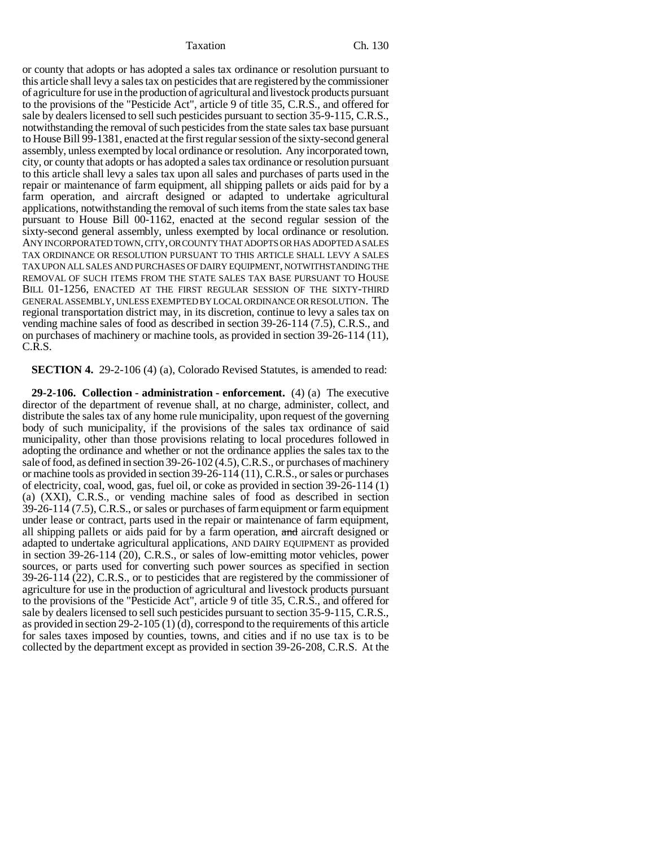Taxation Ch. 130

or county that adopts or has adopted a sales tax ordinance or resolution pursuant to this article shall levy a sales tax on pesticides that are registered by the commissioner of agriculture for use in the production of agricultural and livestock products pursuant to the provisions of the "Pesticide Act", article 9 of title 35, C.R.S., and offered for sale by dealers licensed to sell such pesticides pursuant to section 35-9-115, C.R.S., notwithstanding the removal of such pesticides from the state sales tax base pursuant to House Bill 99-1381, enacted at the first regular session of the sixty-second general assembly, unless exempted by local ordinance or resolution. Any incorporated town, city, or county that adopts or has adopted a sales tax ordinance or resolution pursuant to this article shall levy a sales tax upon all sales and purchases of parts used in the repair or maintenance of farm equipment, all shipping pallets or aids paid for by a farm operation, and aircraft designed or adapted to undertake agricultural applications, notwithstanding the removal of such items from the state sales tax base pursuant to House Bill 00-1162, enacted at the second regular session of the sixty-second general assembly, unless exempted by local ordinance or resolution. ANY INCORPORATED TOWN, CITY, OR COUNTY THAT ADOPTS OR HAS ADOPTED A SALES TAX ORDINANCE OR RESOLUTION PURSUANT TO THIS ARTICLE SHALL LEVY A SALES TAX UPON ALL SALES AND PURCHASES OF DAIRY EQUIPMENT, NOTWITHSTANDING THE REMOVAL OF SUCH ITEMS FROM THE STATE SALES TAX BASE PURSUANT TO HOUSE BILL 01-1256, ENACTED AT THE FIRST REGULAR SESSION OF THE SIXTY-THIRD GENERAL ASSEMBLY, UNLESS EXEMPTED BY LOCAL ORDINANCE OR RESOLUTION. The regional transportation district may, in its discretion, continue to levy a sales tax on vending machine sales of food as described in section 39-26-114 (7.5), C.R.S., and on purchases of machinery or machine tools, as provided in section 39-26-114 (11), C.R.S.

**SECTION 4.** 29-2-106 (4) (a), Colorado Revised Statutes, is amended to read:

**29-2-106. Collection - administration - enforcement.** (4) (a) The executive director of the department of revenue shall, at no charge, administer, collect, and distribute the sales tax of any home rule municipality, upon request of the governing body of such municipality, if the provisions of the sales tax ordinance of said municipality, other than those provisions relating to local procedures followed in adopting the ordinance and whether or not the ordinance applies the sales tax to the sale of food, as defined in section 39-26-102 (4.5), C.R.S., or purchases of machinery or machine tools as provided in section 39-26-114 (11), C.R.S., or sales or purchases of electricity, coal, wood, gas, fuel oil, or coke as provided in section 39-26-114 (1) (a) (XXI), C.R.S., or vending machine sales of food as described in section 39-26-114 (7.5), C.R.S., or sales or purchases of farm equipment or farm equipment under lease or contract, parts used in the repair or maintenance of farm equipment, all shipping pallets or aids paid for by a farm operation, and aircraft designed or adapted to undertake agricultural applications, AND DAIRY EQUIPMENT as provided in section 39-26-114 (20), C.R.S., or sales of low-emitting motor vehicles, power sources, or parts used for converting such power sources as specified in section 39-26-114 (22), C.R.S., or to pesticides that are registered by the commissioner of agriculture for use in the production of agricultural and livestock products pursuant to the provisions of the "Pesticide Act", article 9 of title 35, C.R.S., and offered for sale by dealers licensed to sell such pesticides pursuant to section 35-9-115, C.R.S., as provided in section 29-2-105 (1) (d), correspond to the requirements of this article for sales taxes imposed by counties, towns, and cities and if no use tax is to be collected by the department except as provided in section 39-26-208, C.R.S. At the